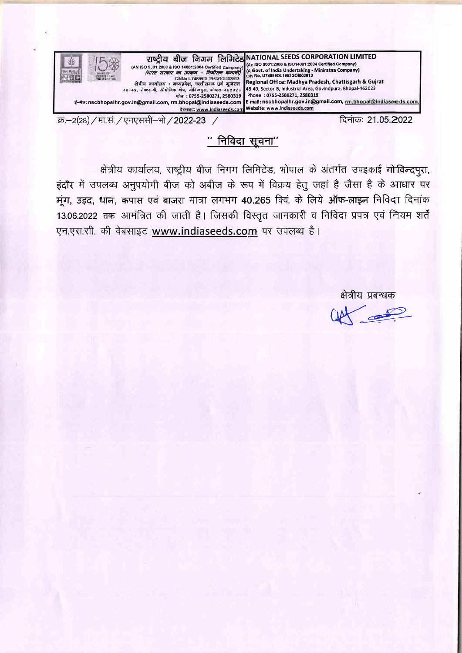

 $"$  निविदा सूचना $"$ 

क्षेत्रीय कार्यालय, राष्ट्रीय बीज निगम लिमिटेड, भोपाल के अंतर्गत उपइकाई गोविन्दपुरा, इंदौर में उपलब्ध अनुपयोगी बीज को अबीज के रूप में विक्रय हेतु जहां है जैसा है के आधार पर मुंग, उड़द, धान, कपास एवं बाजरा मात्रा लगभग 40.265 क्वि. के लिये ऑफ-लाइन निविदा दिनांक 13.06.2022 तक आमंत्रित की जाती है। जिसकी विस्तृत जानकारी व निविदा प्रपत्र एवं नियम शर्तें एन.एस.सी. की वेबसाइट www.indiaseeds.com पर उपलब्ध है।

क्षेत्रीय प्रबन्धक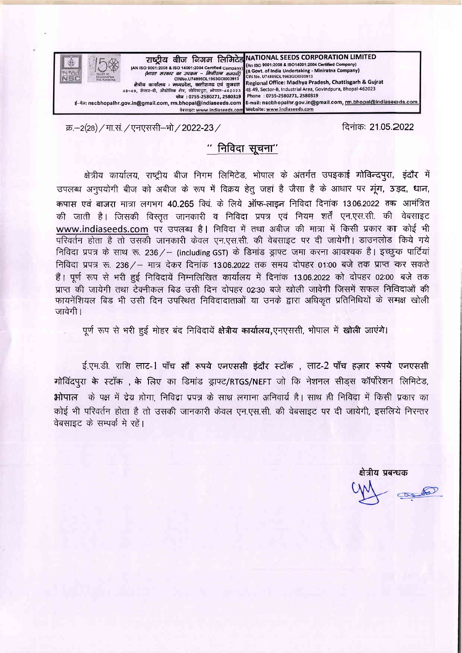

क्र.-2(28) / मा.सं. / एनएससी-भो / 2022-23 /

दिनाक: 21.05.2022

# $''$  निविदा सूचना $''$

क्षेत्रीय कार्यालय, राष्ट्रीय बीज निगम लिमिटेड, भोपाल के अंतर्गत उपइकाई गोविन्दपुरा, इंदौर में उपलब्ध अनुपयोगी बीज को अबीज के रूप में विक्रय हेतू जहां है जैसा है के आधार पर मूंग, उड़द, धान, कपास एवं बाजरा मात्रा लगभग 40.265 क्वि. के लिये ऑफ-लाइन निविदा दिनांक 13.06.2022 तक आमंत्रित की जाती है। जिसकी विस्तृत जानकारी व निविदा प्रपत्र एवं नियम शर्तें एन.एस.सी. की वेबसाइट www.indiaseeds.com पर उपलब्ध है। निविदा में तथा अबीज की मात्रा में किसी प्रकार का कोई भी परिवर्तन होता है तो उसकी जानकारी केवल एन.एस.सी. की वेबसाइट पर दी जायेगी। डाउनलोड किये गये निविदा प्रपत्र के साथ रू. 236 / - (including GST) के डिमांड ड्राफ्ट जमा करना आवश्यक है। इच्छुक पार्टियां निविदा प्रपत्र रू. 236 / – मात्र देकर दिनांक 13.06.2022 तक समय दोपहर 01:00 बजे तक प्राप्त कर सकते हैं। पूर्ण रूप से भरी हुई निविदायें निम्नलिखित कार्यालय में दिनांक 13.06.2022 को दोपहर 02:00 बजे तक प्राप्त की जायेगी तथा टेक्नीकल बिड उसी दिन दोपहर 02:30 बजे खोली जावेगी जिसमें सफल निविदाओं की फायनेंशियल बिड भी उसी दिन उपस्थित निविदादाताओं या उनके द्वारा अधिकृत प्रतिनिधियों के समक्ष खोली जावेगी।

पूर्ण रूप से भरी हुई मोहर बंद निविदायें क्षेत्रीय कार्यालय,एनएससी, भोपाल में खोली जाएंगे।

ई.एम.डी. राशि लाट-1 पाँच सौ रूपये एनएससी इंदौर स्टॉक , लाट-2 पाँच हज़ार रूपये एनएससी गोविंदपुरा के स्टॉक , के लिए का डिमांड ड्राफ्ट/RTGS/NEFT जो कि नेशनल सीड्स कॉर्पोरेशन लिमिटेड, भोपाल के पक्ष में देय होगा, निविदा प्रपत्र के साथ लगाना अनिवार्य है। साथ ही निविदा में किसी प्रकार का कोई भी परिवर्तन होता है तो उसकी जानकारी केवल एन.एस.सी. की वेबसाइट पर दी जायेगी, इसलिये निरन्तर वेबसाइट के सम्पर्क मे रहें।

क्षेत्रीय प्रबन्धक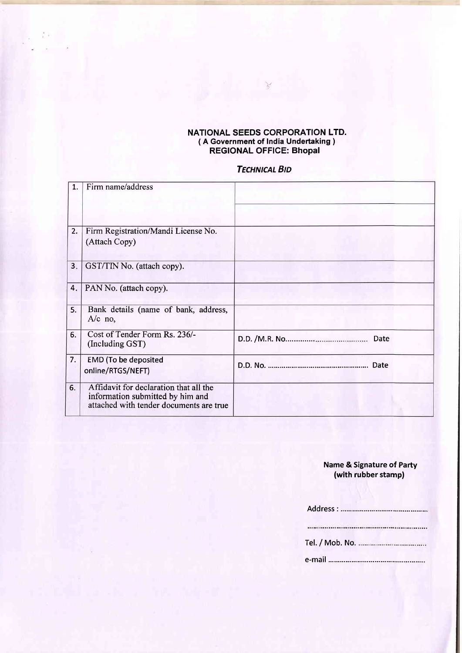#### NATIONAL SEEDS CORPORATION LTD. ( A Government of India Undertaking ) REGIONAL OFFIGE: Bhopal

v

## **TECHNICAL BID**

| 1.  | Firm name/address                                                                                                     |      |
|-----|-----------------------------------------------------------------------------------------------------------------------|------|
|     |                                                                                                                       |      |
| 2.  | Firm Registration/Mandi License No.<br>(Attach Copy)                                                                  |      |
| 3.5 | GST/TIN No. (attach copy).                                                                                            |      |
| 4.  | PAN No. (attach copy).                                                                                                |      |
| 5.  | Bank details (name of bank, address,<br>$A/c$ no,                                                                     |      |
| 6.  | Cost of Tender Form Rs. 236/-<br>(Including GST)                                                                      | Date |
| 7.  | <b>EMD</b> (To be deposited<br>online/RTGS/NEFT)                                                                      |      |
| 6.  | Affidavit for declaration that all the<br>information submitted by him and<br>attached with tender documents are true |      |

# Name & Signature of Party (with rubber stamp)

| $\begin{minipage}{0.9\linewidth} \begin{tabular}{ l l l } \hline \textbf{a} & \textbf{a} & \textbf{a} & \textbf{a} & \textbf{a} & \textbf{a} & \textbf{a} & \textbf{a} & \textbf{a} & \textbf{a} & \textbf{a} & \textbf{a} & \textbf{a} & \textbf{a} & \textbf{a} & \textbf{a} & \textbf{a} & \textbf{a} & \textbf{a} & \textbf{a} & \textbf{a} & \textbf{a} & \textbf{a} & \textbf{a} & \textbf{a} & \textbf{a} & \textbf{a} & \$ |
|------------------------------------------------------------------------------------------------------------------------------------------------------------------------------------------------------------------------------------------------------------------------------------------------------------------------------------------------------------------------------------------------------------------------------------|
|                                                                                                                                                                                                                                                                                                                                                                                                                                    |
|                                                                                                                                                                                                                                                                                                                                                                                                                                    |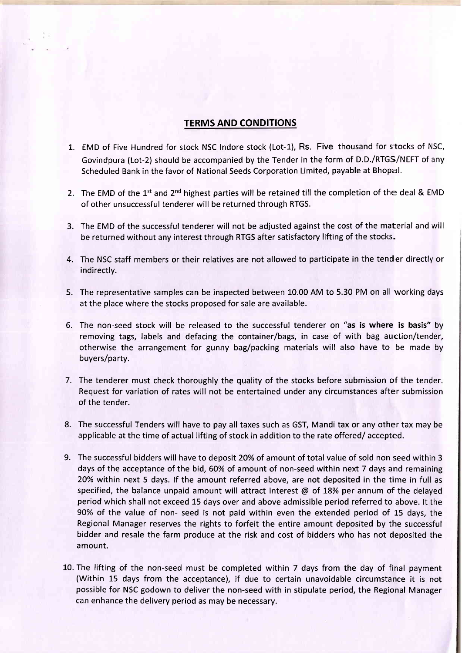### TERMS AND CONDITIONS

- L. EMD of Five Hundred for stock NSC Indore stock (Lot-1), Rs. Five thousand for stocks of NSC, Govindpura (Lot-2) should be accompanied by the Tender in the form of D.D./RTGS/NEFT of any Scheduled Bank in the favor of National Seeds Corporation Limited, payable at Bhopal.
- 2. The EMD of the 1<sup>st</sup> and 2<sup>nd</sup> highest parties will be retained till the completion of the deal & EMD of other unsuccessful tenderer will be returned through RTGS.
- 3. The EMD of the successful tenderer will not be adjusted against the cost of the material and will be returned without any interest through RTGS after satisfactory lifting of the stocks-
- 4. The NSC staff members or their relatives are not allowed to participate in the tender directly or indirectly.
- The representative samples can be inspected between 10.00 AM to 5.30 PM on all working days 5. at the place where the stocks proposed for sale are available.
- 6. The non-seed stock will be released to the successful tenderer on "as is wh<mark>ere is basis"</mark> by removing tags, labels and defacing the container/bags, in case of with bag auction/tender, otherwise the arrangement for gunny bag/packing materials will also have to be made by buyers/party.
- 7. The tenderer must check thoroughly the quality of the stocks before submission of the tender. Request for variation of rates will not be entertained under any circumstances after submission of the tender.
- 8. The successful Tenders will have to pay all taxes such as GST, Mandi tax or any other tax may be applicable at the time of actual lifting of stock in addition to the rate offered/ accepted.
- The successful bidders will have to deposit 20% of amount of total value of sold non seed within 3 9.days of the acceptance of the bid, 60% of amount of non-seed within next 7 days and remaining 20% within next 5 days. lf the amount referred above, are not deposited in the time in full as specified, the balance unpaid amount will attract interest  $\omega$  of 18% per annum of the delayed period which shall not exceed 15 days over and above admissible period referred to above. lt the 90% of the value of non- seed is not paid within even the extended period of 15 days, the Regional Manager reserves the rights to forfeit the entire amount deposited by the successful bidder and resale the farm produce at the risk and cost of bidders who has not deposited the amount.
- 10. The lifting of the non-seed must be completed within 7 days from the day of final payment (Within 15 days from the acceptance), if due to certain unavoidable circumstance it is not possible for NSC godown to deliver the non-seed with in stipulate period, the Regional Manager can enhance the delivery period as may be necessary.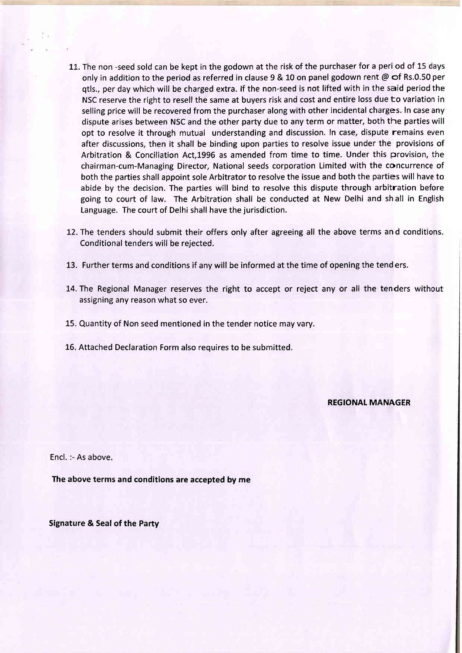- 11. The non -seed sold can be kept in the godown at the risk of the purchaser for a peri od of 15 days only in addition to the period as referred in clause 9 & 10 on panel godown rent @  $\sigma$ f Rs.0.50 per qtls., per day which will be charged extra. lf the non-seed is not lifted with in the said period the NSC reserve the right to resell the same at buyers risk and cost and entire loss due to variation in selling price will be recovered from the purchaser along with other incidental charges. In case any dispute arises between NSC and the other party due to any term or matter, both the parties will opt to resolve it through mutual understanding and discussion. In case, dispute remains even after discussions, then it shall be binding upon parties to resolve issue under the provisions of Arbitration & Conciliation Act,1996 as amended from time to time. Under this provision, the chairman-cum-Managing Director, National seeds corporation Limited with the concurrence of both the parties shall appoint sole Arbitrator to resolve the issue and both the parties will have to abide by the decision. The parties will bind to resolve this dispute through arbitration before going to court of law. The Arbitration shall be conducted at New Delhi and sh all in English Language. The court of Delhi shall have the jurisdiction.
- 12. The tenders should submit their offers only after agreeing all the above terms and conditions. Conditional tenders will be rejected.
- 13. Further terms and conditions if any will be informed at the time of opening the tend ers.
- 14.The Regional Manager reserves the right to accept or reject any or all the tenders without assigning any reason what so ever.
- 15. Quantity of Non seed mentioned in the tender notice may vary.
- 16. Attached Declaration Form also requires to be submitted.

REGIONAL MANAGER

Encl. :- As above.

The above terms and conditions are accepted by me

Signature & Seal of the Party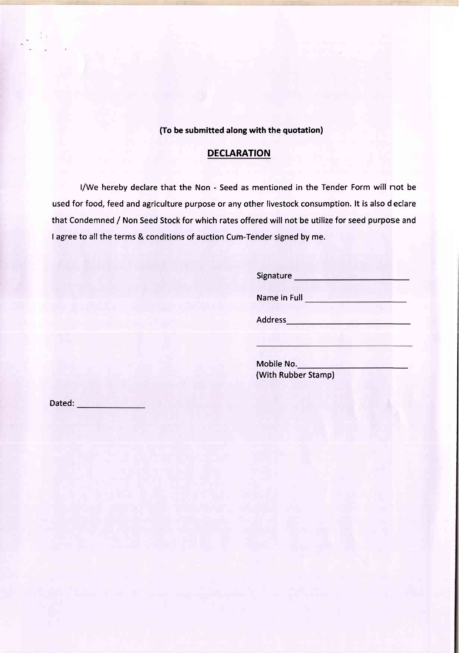(To be submitted along with the quotation)

### DECLARATION

l/We hereby declare that the Non - Seed as mentioned in the Tender Form will not be used for food, feed and agriculture purpose or any other livestock consumption. lt is also declare that Condemned / Non Seed Stock for which rates offered will not be utilize for seed purpose and I agree to all the terms & conditions of auction Cum-Tender signed by me.

> Signature Name in Full Address

Mobile No. (With Rubber Stamp)

Dated: **Example 2018**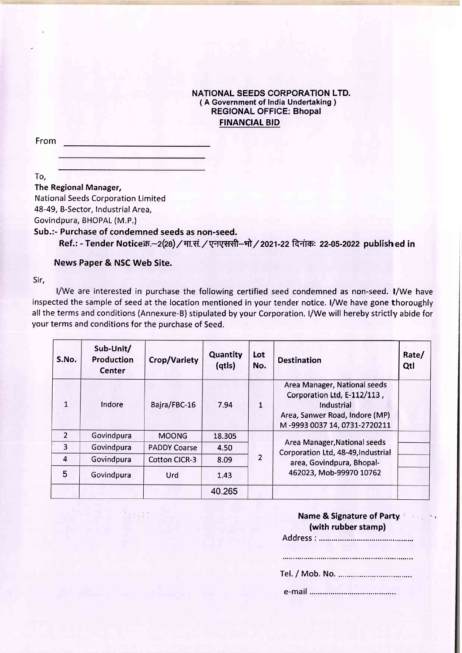#### NATIONAL SEEDS CORPORATION LTD. ( A Government of India Undertaking ) REGIONAL OFFICE: Bhopal FINANCIAL BID

From

To,

The Regional Manager,

National Seeds Corporation Limited

48-49, B-Sector, Industrial Area,

Govindpura, BHOPAL (M.P.)

Sub.:- Purchase of condemned seeds as non-seed.

 $-3.13$ 

Ref.: - Tender Noticeक्र.-2(28) / मा.सं. / एनएससी-भो / 2021-22 दिनांक: 22-05-2022 publish ed in

News Paper & NSC Web Site.

Sir,

l/We are interested in purchase the following certified seed condemned as non-seed. l/We have inspected the sample of seed at the location mentioned in your tender notice. l/We have gone thoroughly all the terms and conditions (Annexure-B) stipulated by your Corporation. l/We will hereby strictly abide for your terms and conditions for the purchase of Seed.

| S.No.          | Sub-Unit/<br>Production<br>Center | Crop/Variety         | Quantity<br>(qtls) | Lot<br>No.    | <b>Destination</b>                                                                                                                          | Rate/<br>Qtl |
|----------------|-----------------------------------|----------------------|--------------------|---------------|---------------------------------------------------------------------------------------------------------------------------------------------|--------------|
| $\mathbf{1}$   | Indore                            | Bajra/FBC-16         | 7.94               | 1             | Area Manager, National seeds<br>Corporation Ltd, E-112/113,<br>Industrial<br>Area, Sanwer Road, Indore (MP)<br>M-9993 0037 14, 0731-2720211 |              |
| $\overline{2}$ | Govindpura                        | <b>MOONG</b>         | 18.305             |               |                                                                                                                                             |              |
| $\overline{3}$ | Govindpura                        | <b>PADDY Coarse</b>  | 4.50               |               | Area Manager, National seeds<br>Corporation Ltd, 48-49, Industrial                                                                          |              |
| $\overline{4}$ | Govindpura                        | <b>Cotton CICR-3</b> | 8.09               | $\mathcal{P}$ | area, Govindpura, Bhopal-                                                                                                                   |              |
| 5              | Govindpura                        | Urd                  | 1.43               |               | 462023, Mob-99970 10762                                                                                                                     |              |
|                |                                   |                      | 40.265             |               |                                                                                                                                             |              |

| Name & Signature of Party |  |
|---------------------------|--|
| (with rubber stamp)       |  |
| Address :                 |  |
|                           |  |
|                           |  |

Tel. / Mob. No.

e-mail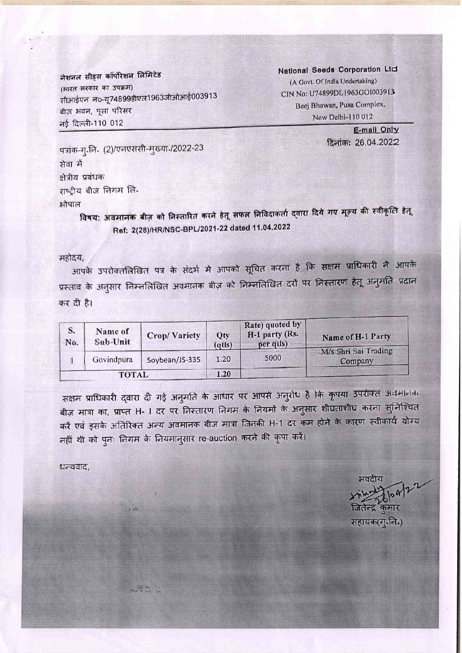नेशनल सीड्स कॉर्पोरेशन लिमिटेड (भारत सरकार का उपक्रम) सीआईएन नo-यू74899डीएल1963जीओआई003913 बीज़ भवन, पूसा परिसर नई दिल्ली-110 012

National Seeds Corporation Ltd (A Govt. Of India Undertaking) CIN No: U74899DL1963GOI003913 Beej Bhawan, Pusa Complex, New Delhi-110 012

> E-mail Only दिनांक: 26.04.2022

पत्रांक-ग्.लि. (2)/एलएससी-मुख्या /2022-23 सेवा में क्षेत्रीय प्रबंधक राष्ट्रीय बीज लिगम लि. भोपाल

विषय: अवमानक बीज़ को निस्तारित करने हेतू सफल निविदाकर्ता दवारा दिये गए मूल्य की स्वीकृत्ति हेतू Ref: 2(28)/HR/NSC-BPL/2021-22 dated 11.04.2022

#### महोदय,

आपके उपरोक्तलिखित पत्र के संदर्भ मे आपको सूचित करना है कि सक्षम प्राधिकारी ने आपके प्रस्ताव के अनुसार निम्नलिखित अवमानक बीज़ को निम्नलिखित दरौं पर निस्तारण हेतू अनुमति प्रदान कर दी है।

| S.<br>No. | Name of<br><b>Crop/Variety</b><br>Sub-Unit |                | Qty<br>( <b>q</b> t <sup>l</sup> s) | Rate) quoted by<br>H-1 party (Rs.<br>per qus) | Name of H-1 Party               |  |
|-----------|--------------------------------------------|----------------|-------------------------------------|-----------------------------------------------|---------------------------------|--|
|           | Govindpura                                 | Soybean/JS-335 | 1.20                                | 5000                                          | M/s Shri Sai Trading<br>Company |  |
|           | <b>TOTAL</b>                               |                | 1.20                                |                                               |                                 |  |

सक्षम प्राधिकारी द्वारा दी गई अनुमति के आधार पर आपसे अनुरोध है कि कृपया उपरांक्त अवमानक बीज़ मात्रा का, प्राप्त H- I दर पर निस्तारण निगम के नियमों के अनुसार शीघ्रताशीघ्र करना स्**निश्चित** करें एवं इसके अतिरिक्त अन्य अवमानक बीज मात्रा जिनकी H-1 दर कम होने के कारण स्वीकार्य योग्य नहीं थी को पुनः निगम के नियमानुसार re-auction करने की कृपा करें।

धन्यवाद,

e de Salvaria<br>Estados de Salvaria

भवदीय जितेन्द क

सहायक(गु.जि.)